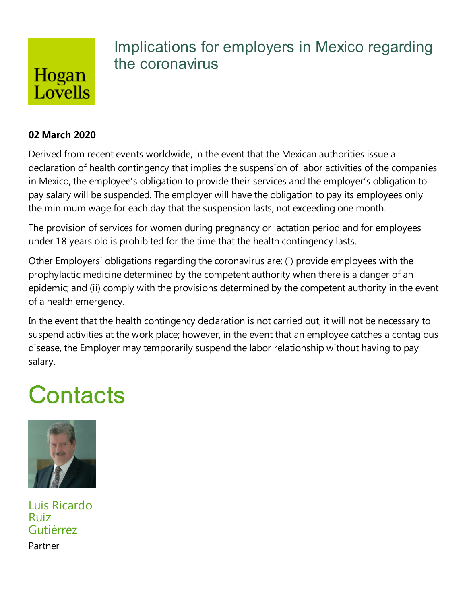

## Implications for employers in Mexico regarding the coronavirus

#### **02 March 2020**

Derived from recent events worldwide, in the event that the Mexican authorities issue a declaration of health contingency that implies the suspension of labor activities of the companies in Mexico, the employee's obligation to provide their services and the employer's obligation to pay salary will be suspended. The employer will have the obligation to pay its employees only the minimum wage for each day that the suspension lasts, not exceeding one month.

The provision of services for women during pregnancy or lactation period and for employees under 18 years old is prohibited for the time that the health contingency lasts.

Other Employers' obligations regarding the coronavirus are: (i) provide employees with the prophylactic medicine determined by the competent authority when there is a danger of an epidemic; and (ii) comply with the provisions determined by the competent authority in the event of a health emergency.

In the event that the health contingency declaration is not carried out, it will not be necessary to suspend activities at the work place; however, in the event that an employee catches a contagious disease, the Employer may temporarily suspend the labor relationship without having to pay salary.

# Contacts



Luis Ricardo Ruiz Gutiérrez

Partner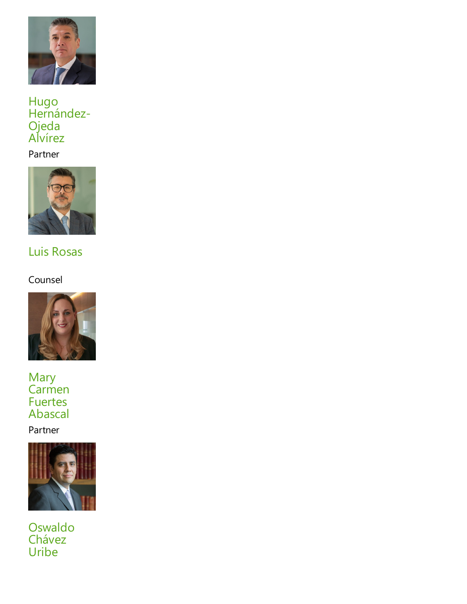

#### Hugo Hernández-Ojeda Alvírez

#### Partner



## Luis Rosas

### Counsel



Mary Carmen Fuertes Abascal

Partner



Oswaldo Chávez Uribe